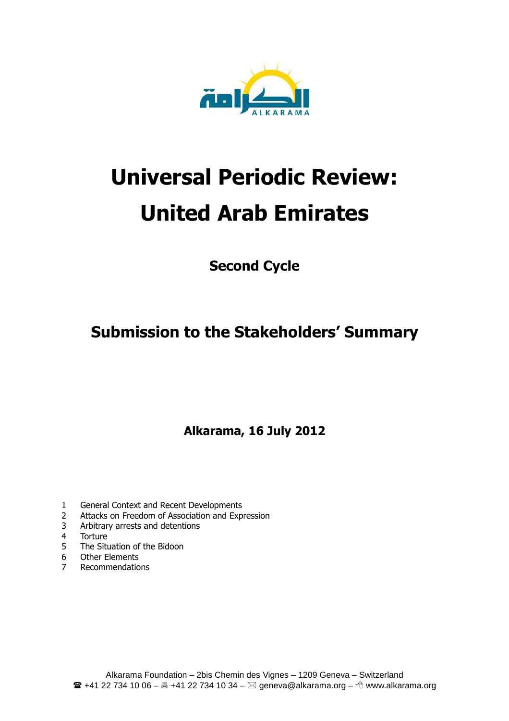

# **Universal Periodic Review: United Arab Emirates**

**Second Cycle** 

**Submission to the Stakeholders' Summary** 

**Alkarama, 16 July 2012**

- 1 General Context and Recent Developments
- 2 Attacks on Freedom of Association and Expression
- 3 Arbitrary arrests and detentions
- 4 Torture
- 5 The Situation of the Bidoon<br>6 Other Elements
- 6 Other Elements<br>
7 Pecommendation
- **Recommendations**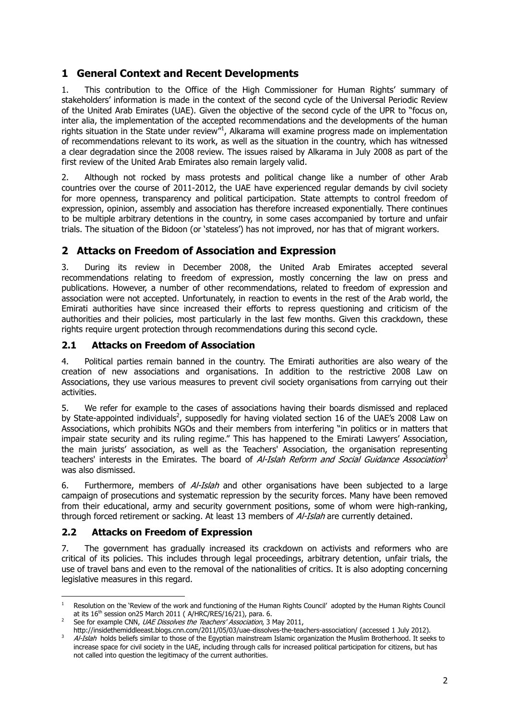## **1 General Context and Recent Developments**

1. This contribution to the Office of the High Commissioner for Human Rights' summary of stakeholders' information is made in the context of the second cycle of the Universal Periodic Review of the United Arab Emirates (UAE). Given the objective of the second cycle of the UPR to "focus on, inter alia, the implementation of the accepted recommendations and the developments of the human rights situation in the State under review"<sup>1</sup>, Alkarama will examine progress made on implementation of recommendations relevant to its work, as well as the situation in the country, which has witnessed a clear degradation since the 2008 review. The issues raised by Alkarama in July 2008 as part of the first review of the United Arab Emirates also remain largely valid.

2. Although not rocked by mass protests and political change like a number of other Arab countries over the course of 2011-2012, the UAE have experienced regular demands by civil society for more openness, transparency and political participation. State attempts to control freedom of expression, opinion, assembly and association has therefore increased exponentially. There continues to be multiple arbitrary detentions in the country, in some cases accompanied by torture and unfair trials. The situation of the Bidoon (or 'stateless') has not improved, nor has that of migrant workers.

## **2 Attacks on Freedom of Association and Expression**

3. During its review in December 2008, the United Arab Emirates accepted several recommendations relating to freedom of expression, mostly concerning the law on press and publications. However, a number of other recommendations, related to freedom of expression and association were not accepted. Unfortunately, in reaction to events in the rest of the Arab world, the Emirati authorities have since increased their efforts to repress questioning and criticism of the authorities and their policies, most particularly in the last few months. Given this crackdown, these rights require urgent protection through recommendations during this second cycle.

#### **2.1 Attacks on Freedom of Association**

4. Political parties remain banned in the country. The Emirati authorities are also weary of the creation of new associations and organisations. In addition to the restrictive 2008 Law on Associations, they use various measures to prevent civil society organisations from carrying out their activities.

5. We refer for example to the cases of associations having their boards dismissed and replaced by State-appointed individuals<sup>2</sup>, supposedly for having violated section 16 of the UAE's 2008 Law on Associations, which prohibits NGOs and their members from interfering "in politics or in matters that impair state security and its ruling regime." This has happened to the Emirati Lawyers' Association, the main jurists' association, as well as the Teachers' Association, the organisation representing teachers' interests in the Emirates. The board of *Al-Islah Reform and Social Guidance Association*<sup>3</sup> was also dismissed.

6. Furthermore, members of  $A/-I$ s/ah and other organisations have been subjected to a large campaign of prosecutions and systematic repression by the security forces. Many have been removed from their educational, army and security government positions, some of whom were high-ranking, through forced retirement or sacking. At least 13 members of *Al-Islah* are currently detained.

#### **2.2 Attacks on Freedom of Expression**

7. The government has gradually increased its crackdown on activists and reformers who are critical of its policies. This includes through legal proceedings, arbitrary detention, unfair trials, the use of travel bans and even to the removal of the nationalities of critics. It is also adopting concerning legislative measures in this regard.

 $\frac{1}{1}$  Resolution on the 'Review of the work and functioning of the Human Rights Council' adopted by the Human Rights Council at its  $16^{\text{th}}$  session on25 March 2011 ( A/HRC/RES/16/21), para. 6.

<sup>2</sup> See for example CNN, UAE Dissolves the Teachers' Association, 3 May 2011,

http://insidethemiddleeast.blogs.cnn.com/2011/05/03/uae-dissolves-the-teachers-association/ (accessed 1 July 2012). 3 Al-Islah holds beliefs similar to those of the Egyptian mainstream Islamic organization the Muslim Brotherhood. It seeks to increase space for civil society in the UAE, including through calls for increased political participation for citizens, but has not called into question the legitimacy of the current authorities.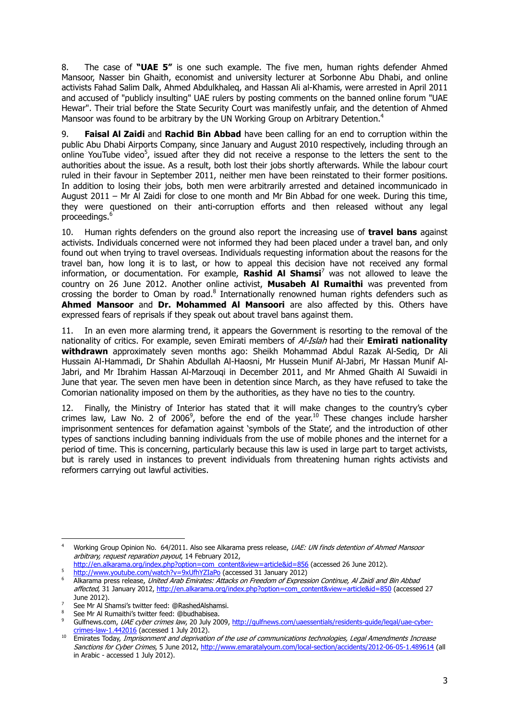8. The case of **"UAE 5"** is one such example. The five men, human rights defender Ahmed Mansoor, Nasser bin Ghaith, economist and university lecturer at Sorbonne Abu Dhabi, and online activists Fahad Salim Dalk, Ahmed Abdulkhaleq, and Hassan Ali al-Khamis, were arrested in April 2011 and accused of "publicly insulting" UAE rulers by posting comments on the banned online forum "UAE Hewar". Their trial before the State Security Court was manifestly unfair, and the detention of Ahmed Mansoor was found to be arbitrary by the UN Working Group on Arbitrary Detention.<sup>4</sup>

9. **Faisal Al Zaidi** and **Rachid Bin Abbad** have been calling for an end to corruption within the public Abu Dhabi Airports Company, since January and August 2010 respectively, including through an online YouTube video<sup>5</sup>, issued after they did not receive a response to the letters the sent to the authorities about the issue. As a result, both lost their jobs shortly afterwards. While the labour court ruled in their favour in September 2011, neither men have been reinstated to their former positions. In addition to losing their jobs, both men were arbitrarily arrested and detained incommunicado in August 2011 – Mr Al Zaidi for close to one month and Mr Bin Abbad for one week. During this time, they were questioned on their anti-corruption efforts and then released without any legal proceedings.<sup>6</sup>

10. Human rights defenders on the ground also report the increasing use of **travel bans** against activists. Individuals concerned were not informed they had been placed under a travel ban, and only found out when trying to travel overseas. Individuals requesting information about the reasons for the travel ban, how long it is to last, or how to appeal this decision have not received any formal information, or documentation. For example, **Rashid Al Shamsi**<sup>7</sup> was not allowed to leave the country on 26 June 2012. Another online activist, **Musabeh Al Rumaithi** was prevented from crossing the border to Oman by road.<sup>8</sup> Internationally renowned human rights defenders such as **Ahmed Mansoor** and **Dr. Mohammed Al Mansoori** are also affected by this. Others have expressed fears of reprisals if they speak out about travel bans against them.

11. In an even more alarming trend, it appears the Government is resorting to the removal of the nationality of critics. For example, seven Emirati members of Al-Islah had their **Emirati nationality withdrawn** approximately seven months ago: Sheikh Mohammad Abdul Razak Al-Sediq, Dr Ali Hussain Al-Hammadi, Dr Shahin Abdullah Al-Haosni, Mr Hussein Munif Al-Jabri, Mr Hassan Munif Al-Jabri, and Mr Ibrahim Hassan Al-Marzouqi in December 2011, and Mr Ahmed Ghaith Al Suwaidi in June that year. The seven men have been in detention since March, as they have refused to take the Comorian nationality imposed on them by the authorities, as they have no ties to the country.

12. Finally, the Ministry of Interior has stated that it will make changes to the country's cyber crimes law, Law No. 2 of 2006<sup>9</sup>, before the end of the year.<sup>10</sup> These changes include harsher imprisonment sentences for defamation against 'symbols of the State', and the introduction of other types of sanctions including banning individuals from the use of mobile phones and the internet for a period of time. This is concerning, particularly because this law is used in large part to target activists, but is rarely used in instances to prevent individuals from threatening human rights activists and reformers carrying out lawful activities.

 $\overline{a}$ 4 Working Group Opinion No. 64/2011. Also see Alkarama press release, UAE: UN finds detention of Ahmed Mansoor arbitrary, request reparation payout, 14 February 2012,

http://en.alkarama.org/index.php?option=com\_content&view=article&id=856 (accessed 26 June 2012). 5 http://www.youtube.com/watch?v=9xUfhYZIaPo (accessed 31 January 2012)

<sup>6</sup> Alkarama press release, United Arab Emirates: Attacks on Freedom of Expression Continue, Al Zaidi and Bin Abbad affected, 31 January 2012, http://en.alkarama.org/index.php?option=com\_content&view=article&id=850 (accessed 27 June 2012).

See Mr Al Shamsi's twitter feed: @RashedAlshamsi.

<sup>&</sup>lt;sup>8</sup> See Mr Al Rumaithi's twitter feed: @budhabisea.

<sup>9</sup> Gulfnews.com, UAE cyber crimes law, 20 July 2009, http://gulfnews.com/uaessentials/residents-guide/legal/uae-cybercrimes-law-1.442016 (accessed 1 July 2012).

<sup>&</sup>lt;sup>10</sup> Emirates Today, Imprisonment and deprivation of the use of communications technologies, Legal Amendments Increase Sanctions for Cyber Crimes, 5 June 2012, http://www.emaratalyoum.com/local-section/accidents/2012-06-05-1.489614 (all in Arabic - accessed 1 July 2012).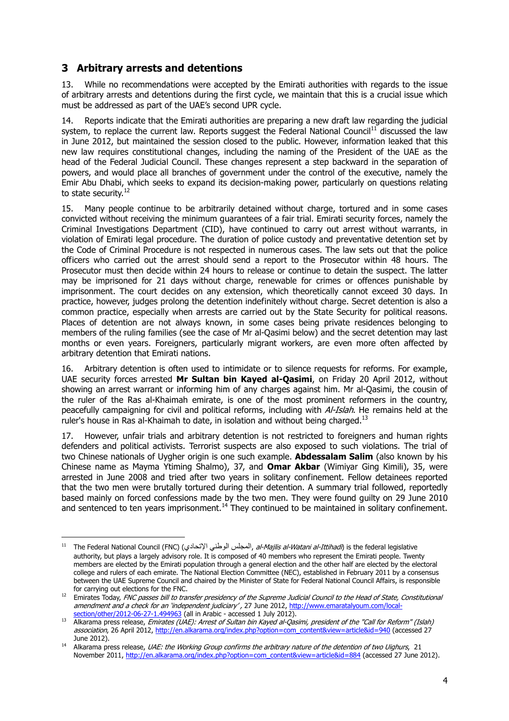## **3 Arbitrary arrests and detentions**

 $\overline{a}$ 

13. While no recommendations were accepted by the Emirati authorities with regards to the issue of arbitrary arrests and detentions during the first cycle, we maintain that this is a crucial issue which must be addressed as part of the UAE's second UPR cycle.

14. Reports indicate that the Emirati authorities are preparing a new draft law regarding the judicial system, to replace the current law. Reports suggest the Federal National Council<sup>11</sup> discussed the law in June 2012, but maintained the session closed to the public. However, information leaked that this new law requires constitutional changes, including the naming of the President of the UAE as the head of the Federal Judicial Council. These changes represent a step backward in the separation of powers, and would place all branches of government under the control of the executive, namely the Emir Abu Dhabi, which seeks to expand its decision-making power, particularly on questions relating to state security.<sup>12</sup>

15. Many people continue to be arbitrarily detained without charge, tortured and in some cases convicted without receiving the minimum guarantees of a fair trial. Emirati security forces, namely the Criminal Investigations Department (CID), have continued to carry out arrest without warrants, in violation of Emirati legal procedure. The duration of police custody and preventative detention set by the Code of Criminal Procedure is not respected in numerous cases. The law sets out that the police officers who carried out the arrest should send a report to the Prosecutor within 48 hours. The Prosecutor must then decide within 24 hours to release or continue to detain the suspect. The latter may be imprisoned for 21 days without charge, renewable for crimes or offences punishable by imprisonment. The court decides on any extension, which theoretically cannot exceed 30 days. In practice, however, judges prolong the detention indefinitely without charge. Secret detention is also a common practice, especially when arrests are carried out by the State Security for political reasons. Places of detention are not always known, in some cases being private residences belonging to members of the ruling families (see the case of Mr al-Qasimi below) and the secret detention may last months or even years. Foreigners, particularly migrant workers, are even more often affected by arbitrary detention that Emirati nations.

16. Arbitrary detention is often used to intimidate or to silence requests for reforms. For example, UAE security forces arrested **Mr Sultan bin Kayed al-Qasimi**, on Friday 20 April 2012, without showing an arrest warrant or informing him of any charges against him. Mr al-Qasimi, the cousin of the ruler of the Ras al-Khaimah emirate, is one of the most prominent reformers in the country, peacefully campaigning for civil and political reforms, including with Al-Islah. He remains held at the ruler's house in Ras al-Khaimah to date, in isolation and without being charged. $^{13}$ 

17. However, unfair trials and arbitrary detention is not restricted to foreigners and human rights defenders and political activists. Terrorist suspects are also exposed to such violations. The trial of two Chinese nationals of Uygher origin is one such example. **Abdessalam Salim** (also known by his Chinese name as Mayma Ytiming Shalmo), 37, and **Omar Akbar** (Wimiyar Ging Kimili), 35, were arrested in June 2008 and tried after two years in solitary confinement. Fellow detainees reported that the two men were brutally tortured during their detention. A summary trial followed, reportedly based mainly on forced confessions made by the two men. They were found guilty on 29 June 2010 and sentenced to ten years imprisonment.<sup>14</sup> They continued to be maintained in solitary confinement.

<sup>&</sup>lt;sup>11</sup> The Federal National Council (FNC) (المجلس الوطني الإتحادي, *al-Majlis al-Watani al-Ittihadi*) is the federal legislative authority, but plays a largely advisory role. It is composed of 40 members who represent the Emirati people. Twenty members are elected by the Emirati population through a general election and the other half are elected by the electoral college and rulers of each emirate. The National Election Committee (NEC), established in February 2011 by a consensus between the UAE Supreme Council and chaired by the Minister of State for Federal National Council Affairs, is responsible for carrying out elections for the FNC.

<sup>&</sup>lt;sup>12</sup> Emirates Today, FNC passes bill to transfer presidency of the Supreme Judicial Council to the Head of State, Constitutional amendment and a check for an 'independent judiciary', 27 June 2012, http://www.emaratalyoum.com/localsection/other/2012-06-27-1.494963 (all in Arabic - accessed 1 July 2012).

<sup>13</sup> Alkarama press release, Emirates (UAE): Arrest of Sultan bin Kayed al-Qasimi, president of the "Call for Reform" (Islah) association, 26 April 2012, http://en.alkarama.org/index.php?option=com\_content&view=article&id=940 (accessed 27 June 2012).

<sup>&</sup>lt;sup>14</sup> Alkarama press release, *UAE: the Working Group confirms the arbitrary nature of the detention of two Uighurs*, 21 November 2011, http://en.alkarama.org/index.php?option=com\_content&view=article&id=884 (accessed 27 June 2012).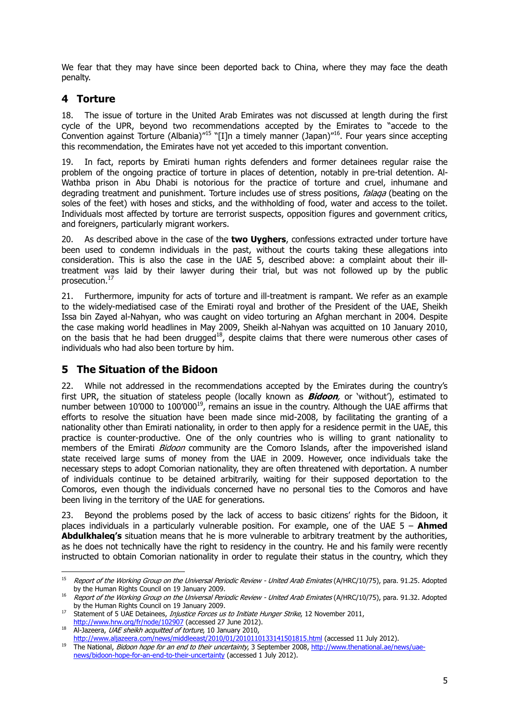We fear that they may have since been deported back to China, where they may face the death penalty.

### **4 Torture**

18. The issue of torture in the United Arab Emirates was not discussed at length during the first cycle of the UPR, beyond two recommendations accepted by the Emirates to "accede to the Convention against Torture (Albania)"<sup>15</sup> "[I]n a timely manner (Japan)"<sup>16</sup>. Four years since accepting this recommendation, the Emirates have not yet acceded to this important convention.

19. In fact, reports by Emirati human rights defenders and former detainees regular raise the problem of the ongoing practice of torture in places of detention, notably in pre-trial detention. Al-Wathba prison in Abu Dhabi is notorious for the practice of torture and cruel, inhumane and degrading treatment and punishment. Torture includes use of stress positions, *falaga* (beating on the soles of the feet) with hoses and sticks, and the withholding of food, water and access to the toilet. Individuals most affected by torture are terrorist suspects, opposition figures and government critics, and foreigners, particularly migrant workers.

20. As described above in the case of the **two Uyghers**, confessions extracted under torture have been used to condemn individuals in the past, without the courts taking these allegations into consideration. This is also the case in the UAE 5, described above: a complaint about their illtreatment was laid by their lawyer during their trial, but was not followed up by the public prosecution.<sup>17</sup>

21. Furthermore, impunity for acts of torture and ill-treatment is rampant. We refer as an example to the widely-mediatised case of the Emirati royal and brother of the President of the UAE, Sheikh Issa bin Zayed al-Nahyan, who was caught on video torturing an Afghan merchant in 2004. Despite the case making world headlines in May 2009, Sheikh al-Nahyan was acquitted on 10 January 2010, on the basis that he had been drugged<sup>18</sup>, despite claims that there were numerous other cases of individuals who had also been torture by him.

#### **5 The Situation of the Bidoon**

22. While not addressed in the recommendations accepted by the Emirates during the country's first UPR, the situation of stateless people (locally known as **Bidoon**, or 'without'), estimated to number between 10'000 to  $100'000^{19}$ , remains an issue in the country. Although the UAE affirms that efforts to resolve the situation have been made since mid-2008, by facilitating the granting of a nationality other than Emirati nationality, in order to then apply for a residence permit in the UAE, this practice is counter-productive. One of the only countries who is willing to grant nationality to members of the Emirati *Bidoon* community are the Comoro Islands, after the impoverished island state received large sums of money from the UAE in 2009. However, once individuals take the necessary steps to adopt Comorian nationality, they are often threatened with deportation. A number of individuals continue to be detained arbitrarily, waiting for their supposed deportation to the Comoros, even though the individuals concerned have no personal ties to the Comoros and have been living in the territory of the UAE for generations.

23. Beyond the problems posed by the lack of access to basic citizens' rights for the Bidoon, it places individuals in a particularly vulnerable position. For example, one of the UAE 5 – **Ahmed Abdulkhaleq's** situation means that he is more vulnerable to arbitrary treatment by the authorities, as he does not technically have the right to residency in the country. He and his family were recently instructed to obtain Comorian nationality in order to regulate their status in the country, which they

 $\frac{1}{15}$  Report of the Working Group on the Universal Periodic Review - United Arab Emirates (A/HRC/10/75), para. 91.25. Adopted by the Human Rights Council on 19 January 2009.

<sup>16</sup> Report of the Working Group on the Universal Periodic Review - United Arab Emirates (A/HRC/10/75), para. 91.32. Adopted by the Human Rights Council on 19 January 2009.

<sup>&</sup>lt;sup>17</sup> Statement of 5 UAE Detainees, *Injustice Forces us to Initiate Hunger Strike*, 12 November 2011, http://www.hrw.org/fr/node/102907 (accessed 27 June 2012).

<sup>18</sup> Al-Jazeera, *UAE sheikh acquitted of torture*, 10 January 2010,

http://www.aljazeera.com/news/middleeast/2010/01/2010110133141501815.html (accessed 11 July 2012).

<sup>19</sup> The National, *Bidoon hope for an end to their uncertainty*, 3 September 2008, http://www.thenational.ae/news/uaenews/bidoon-hope-for-an-end-to-their-uncertainty (accessed 1 July 2012).